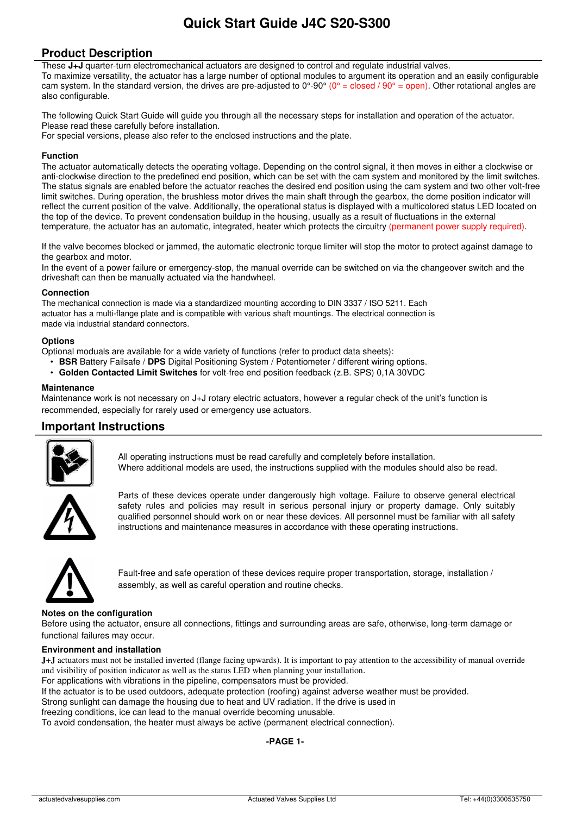# **Quick Start Guide J4C S20-S300**

## **Product Description**

These **J+J** quarter-turn electromechanical actuators are designed to control and regulate industrial valves. To maximize versatility, the actuator has a large number of optional modules to argument its operation and an easily configurable cam system. In the standard version, the drives are pre-adjusted to  $0^{\circ}$ -90° ( $0^{\circ}$  = closed / 90° = open). Other rotational angles are also configurable.

The following Quick Start Guide will guide you through all the necessary steps for installation and operation of the actuator. Please read these carefully before installation.

For special versions, please also refer to the enclosed instructions and the plate.

#### **Function**

The actuator automatically detects the operating voltage. Depending on the control signal, it then moves in either a clockwise or anti-clockwise direction to the predefined end position, which can be set with the cam system and monitored by the limit switches. The status signals are enabled before the actuator reaches the desired end position using the cam system and two other volt-free limit switches. During operation, the brushless motor drives the main shaft through the gearbox, the dome position indicator will reflect the current position of the valve. Additionally, the operational status is displayed with a multicolored status LED located on the top of the device. To prevent condensation buildup in the housing, usually as a result of fluctuations in the external temperature, the actuator has an automatic, integrated, heater which protects the circuitry (permanent power supply required).

If the valve becomes blocked or jammed, the automatic electronic torque limiter will stop the motor to protect against damage to the gearbox and motor.

In the event of a power failure or emergency-stop, the manual override can be switched on via the changeover switch and the driveshaft can then be manually actuated via the handwheel.

#### **Connection**

The mechanical connection is made via a standardized mounting according to DIN 3337 / ISO 5211. Each actuator has a multi-flange plate and is compatible with various shaft mountings. The electrical connection is made via industrial standard connectors.

#### **Options**

Optional moduals are available for a wide variety of functions (refer to product data sheets):

- **BSR** Battery Failsafe / **DPS** Digital Positioning System / Potentiometer / different wiring options.
- **Golden Contacted Limit Switches** for volt-free end position feedback (z.B. SPS) 0,1A 30VDC

#### **Maintenance**

Maintenance work is not necessary on J+J rotary electric actuators, however a regular check of the unit's function is recommended, especially for rarely used or emergency use actuators.

## **Important Instructions**



All operating instructions must be read carefully and completely before installation. Where additional models are used, the instructions supplied with the modules should also be read.



Parts of these devices operate under dangerously high voltage. Failure to observe general electrical safety rules and policies may result in serious personal injury or property damage. Only suitably qualified personnel should work on or near these devices. All personnel must be familiar with all safety instructions and maintenance measures in accordance with these operating instructions.



Fault-free and safe operation of these devices require proper transportation, storage, installation / assembly, as well as careful operation and routine checks.

### **Notes on the configuration**

Before using the actuator, ensure all connections, fittings and surrounding areas are safe, otherwise, long-term damage or functional failures may occur.

#### **Environment and installation**

**J+J** actuators must not be installed inverted (flange facing upwards). It is important to pay attention to the accessibility of manual override and visibility of position indicator as well as the status LED when planning your installation.

For applications with vibrations in the pipeline, compensators must be provided.

If the actuator is to be used outdoors, adequate protection (roofing) against adverse weather must be provided.

Strong sunlight can damage the housing due to heat and UV radiation. If the drive is used in

freezing conditions, ice can lead to the manual override becoming unusable.

To avoid condensation, the heater must always be active (permanent electrical connection).

#### **-PAGE 1-**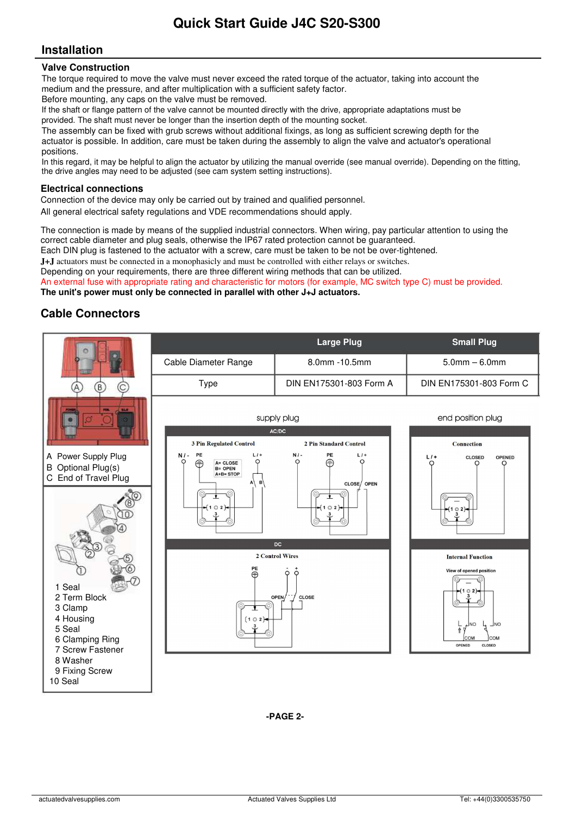# **Installation**

### **Valve Construction**

The torque required to move the valve must never exceed the rated torque of the actuator, taking into account the medium and the pressure, and after multiplication with a sufficient safety factor.

Before mounting, any caps on the valve must be removed.

If the shaft or flange pattern of the valve cannot be mounted directly with the drive, appropriate adaptations must be provided. The shaft must never be longer than the insertion depth of the mounting socket.

The assembly can be fixed with grub screws without additional fixings, as long as sufficient screwing depth for the actuator is possible. In addition, care must be taken during the assembly to align the valve and actuator's operational positions.

In this regard, it may be helpful to align the actuator by utilizing the manual override (see manual override). Depending on the fitting, the drive angles may need to be adjusted (see cam system setting instructions).

### **Electrical connections**

Connection of the device may only be carried out by trained and qualified personnel.

All general electrical safety regulations and VDE recommendations should apply.

The connection is made by means of the supplied industrial connectors. When wiring, pay particular attention to using the correct cable diameter and plug seals, otherwise the IP67 rated protection cannot be guaranteed.

Each DIN plug is fastened to the actuator with a screw, care must be taken to be not be over-tightened.

**J+J** actuators must be connected in a monophasicly and must be controlled with either relays or switches.

Depending on your requirements, there are three different wiring methods that can be utilized.

An external fuse with appropriate rating and characteristic for motors (for example, MC switch type C) must be provided.

**The unit's power must only be connected in parallel with other J+J actuators.** 

# **Cable Connectors**



**-PAGE 2-**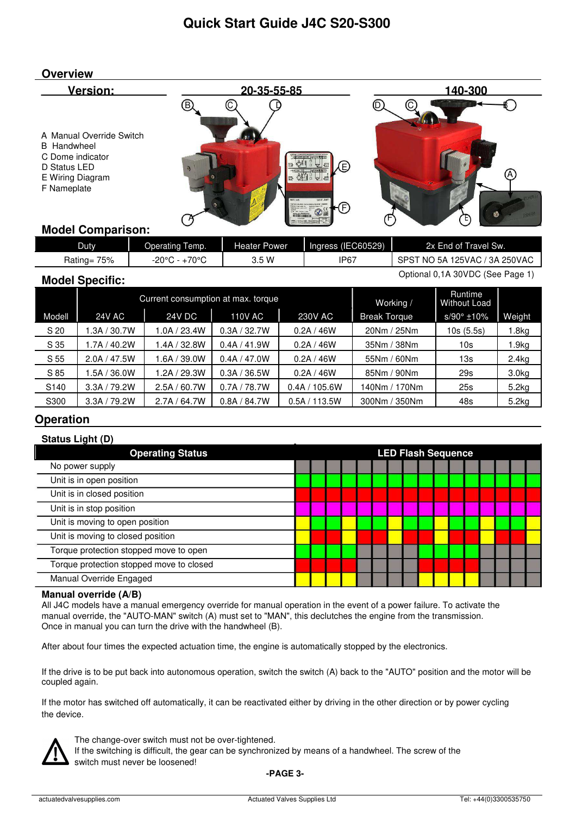

## **Model Comparison:**

| <b>Duty</b>    | Operating Temp.          | Heater Power | Ingress (IEC60529) | 2x End of Travel Sw.                      |
|----------------|--------------------------|--------------|--------------------|-------------------------------------------|
| 75%<br>Rating= | $+70^{\circ}$ C<br>-20°⊆ | 3.5 W        | IP <sub>67</sub>   | T NO 5A 125VAC / 3A 250VAC<br><b>SPST</b> |

## **Model Specific:**

Optional 0,1A 30VDC (See Page 1)

|        |                   | Current consumption at max. torque |                | Working /     | Runtime<br><b>Without Load</b> |                     |                   |
|--------|-------------------|------------------------------------|----------------|---------------|--------------------------------|---------------------|-------------------|
| Modell | 24V AC            | <b>24V DC</b>                      | <b>110V AC</b> | 230V AC       | <b>Break Torque</b>            | $s/90^{\circ}$ ±10% | Weight            |
| S 20   | 1.3A / 30.7W      | 1.0A / 23.4W                       | 0.3A / 32.7W   | 0.2A/46W      | 20Nm / 25Nm                    | 10s(5.5s)           | .8kg              |
| S 35   | I.7A / 40.2W      | 1.4A / 32.8W                       | 0.4A / 41.9W   | 0.2A/46W      | 35Nm / 38Nm                    | 10s                 | .9kg              |
| S 55   | 47.5W<br>2.0A $/$ | 1.6A / 39.0W                       | 0.4A / 47.0W   | 0.2A/46W      | 55Nm / 60Nm                    | 13s                 | 2.4kg             |
| S 85   | .5A/36.0W         | 1.2A / 29.3W                       | 0.3A / 36.5W   | 0.2A/46W      | 85Nm / 90Nm                    | 29s                 | 3.0 <sub>kg</sub> |
| S140   | 3.3A / 79.2W      | 2.5A / 60.7W                       | 0.7A / 78.7W   | 0.4A / 105.6W | 140Nm / 170Nm                  | 25s                 | 5.2kg             |
| S300   | 3.3A / 79.2W      | 2.7A/64.7W                         | 0.8A / 84.7W   | 0.5A/113.5W   | 300Nm / 350Nm                  | 48s                 | 5.2kg             |

# **Operation**

| <b>Status Light (D)</b>                  |                           |  |  |  |  |  |  |  |  |  |
|------------------------------------------|---------------------------|--|--|--|--|--|--|--|--|--|
| <b>Operating Status</b>                  | <b>LED Flash Sequence</b> |  |  |  |  |  |  |  |  |  |
| No power supply                          |                           |  |  |  |  |  |  |  |  |  |
| Unit is in open position                 |                           |  |  |  |  |  |  |  |  |  |
| Unit is in closed position               |                           |  |  |  |  |  |  |  |  |  |
| Unit is in stop position                 |                           |  |  |  |  |  |  |  |  |  |
| Unit is moving to open position          |                           |  |  |  |  |  |  |  |  |  |
| Unit is moving to closed position        |                           |  |  |  |  |  |  |  |  |  |
| Torque protection stopped move to open   |                           |  |  |  |  |  |  |  |  |  |
| Torque protection stopped move to closed |                           |  |  |  |  |  |  |  |  |  |
| Manual Override Engaged                  |                           |  |  |  |  |  |  |  |  |  |

## **Manual override (A/B)**

All J4C models have a manual emergency override for manual operation in the event of a power failure. To activate the manual override, the "AUTO-MAN" switch (A) must set to "MAN", this declutches the engine from the transmission. Once in manual you can turn the drive with the handwheel (B).

After about four times the expected actuation time, the engine is automatically stopped by the electronics.

If the drive is to be put back into autonomous operation, switch the switch (A) back to the "AUTO" position and the motor will be coupled again.

If the motor has switched off automatically, it can be reactivated either by driving in the other direction or by power cycling the device.



The change-over switch must not be over-tightened.

If the switching is difficult, the gear can be synchronized by means of a handwheel. The screw of the switch must never be loosened!

**-PAGE 3-**